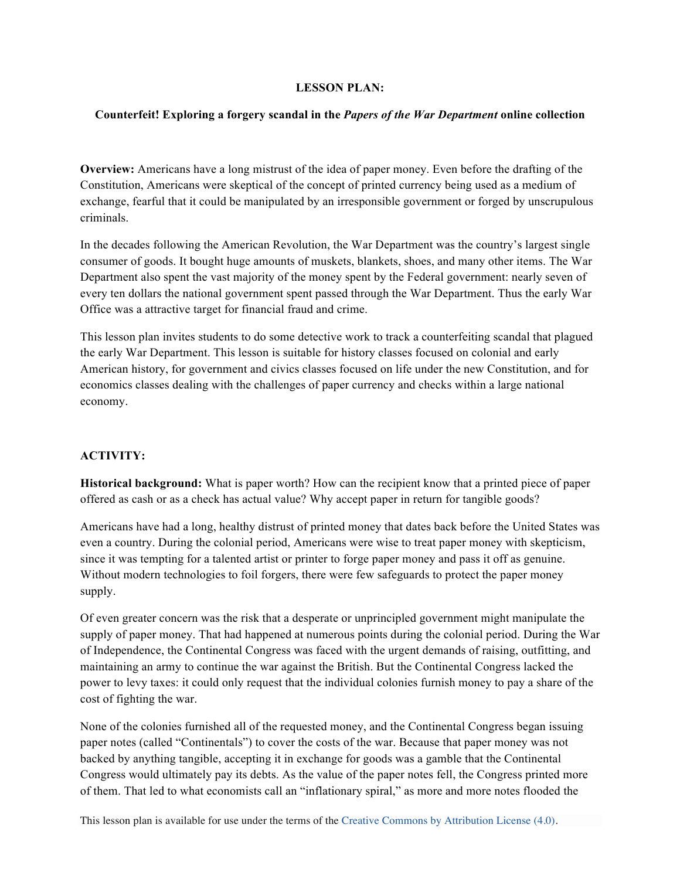## **LESSON PLAN:**

## **Counterfeit! Exploring a forgery scandal in the** *Papers of the War Department* **online collection**

**Overview:** Americans have a long mistrust of the idea of paper money. Even before the drafting of the Constitution, Americans were skeptical of the concept of printed currency being used as a medium of exchange, fearful that it could be manipulated by an irresponsible government or forged by unscrupulous criminals.

In the decades following the American Revolution, the War Department was the country's largest single consumer of goods. It bought huge amounts of muskets, blankets, shoes, and many other items. The War Department also spent the vast majority of the money spent by the Federal government: nearly seven of every ten dollars the national government spent passed through the War Department. Thus the early War Office was a attractive target for financial fraud and crime.

This lesson plan invites students to do some detective work to track a counterfeiting scandal that plagued the early War Department. This lesson is suitable for history classes focused on colonial and early American history, for government and civics classes focused on life under the new Constitution, and for economics classes dealing with the challenges of paper currency and checks within a large national economy.

# **ACTIVITY:**

**Historical background:** What is paper worth? How can the recipient know that a printed piece of paper offered as cash or as a check has actual value? Why accept paper in return for tangible goods?

Americans have had a long, healthy distrust of printed money that dates back before the United States was even a country. During the colonial period, Americans were wise to treat paper money with skepticism, since it was tempting for a talented artist or printer to forge paper money and pass it off as genuine. Without modern technologies to foil forgers, there were few safeguards to protect the paper money supply.

Of even greater concern was the risk that a desperate or unprincipled government might manipulate the supply of paper money. That had happened at numerous points during the colonial period. During the War of Independence, the Continental Congress was faced with the urgent demands of raising, outfitting, and maintaining an army to continue the war against the British. But the Continental Congress lacked the power to levy taxes: it could only request that the individual colonies furnish money to pay a share of the cost of fighting the war.

None of the colonies furnished all of the requested money, and the Continental Congress began issuing paper notes (called "Continentals") to cover the costs of the war. Because that paper money was not backed by anything tangible, accepting it in exchange for goods was a gamble that the Continental Congress would ultimately pay its debts. As the value of the paper notes fell, the Congress printed more of them. That led to what economists call an "inflationary spiral," as more and more notes flooded the

This lesson plan is available for use under the terms of the Creative Commons by Attribution License (4.0).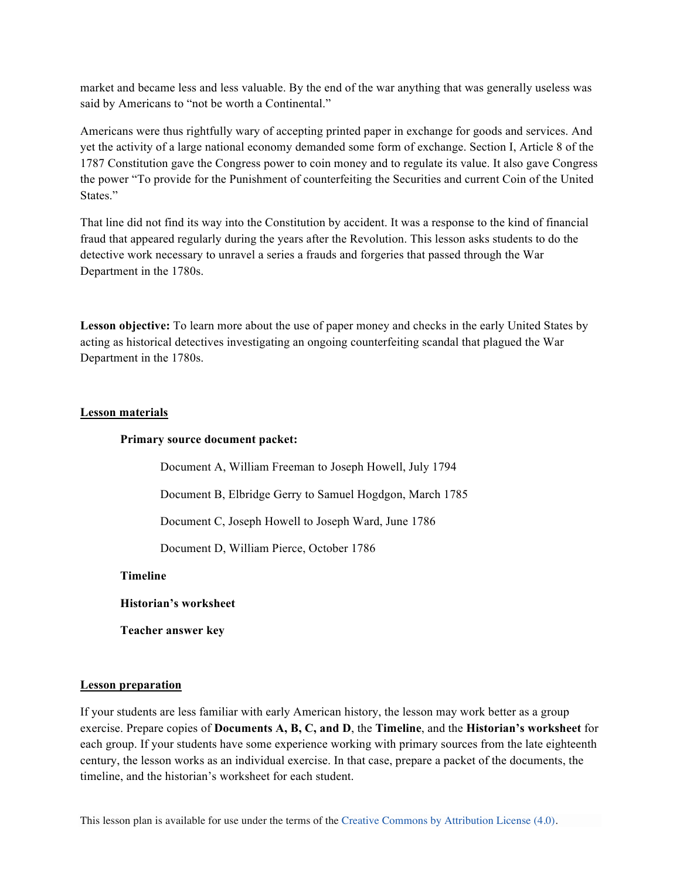market and became less and less valuable. By the end of the war anything that was generally useless was said by Americans to "not be worth a Continental."

Americans were thus rightfully wary of accepting printed paper in exchange for goods and services. And yet the activity of a large national economy demanded some form of exchange. Section I, Article 8 of the 1787 Constitution gave the Congress power to coin money and to regulate its value. It also gave Congress the power "To provide for the Punishment of counterfeiting the Securities and current Coin of the United States."

That line did not find its way into the Constitution by accident. It was a response to the kind of financial fraud that appeared regularly during the years after the Revolution. This lesson asks students to do the detective work necessary to unravel a series a frauds and forgeries that passed through the War Department in the 1780s.

**Lesson objective:** To learn more about the use of paper money and checks in the early United States by acting as historical detectives investigating an ongoing counterfeiting scandal that plagued the War Department in the 1780s.

### **Lesson materials**

#### **Primary source document packet:**

Document A, William Freeman to Joseph Howell, July 1794 Document B, Elbridge Gerry to Samuel Hogdgon, March 1785 Document C, Joseph Howell to Joseph Ward, June 1786 Document D, William Pierce, October 1786

**Timeline**

**Historian's worksheet**

**Teacher answer key**

#### **Lesson preparation**

If your students are less familiar with early American history, the lesson may work better as a group exercise. Prepare copies of **Documents A, B, C, and D**, the **Timeline**, and the **Historian's worksheet** for each group. If your students have some experience working with primary sources from the late eighteenth century, the lesson works as an individual exercise. In that case, prepare a packet of the documents, the timeline, and the historian's worksheet for each student.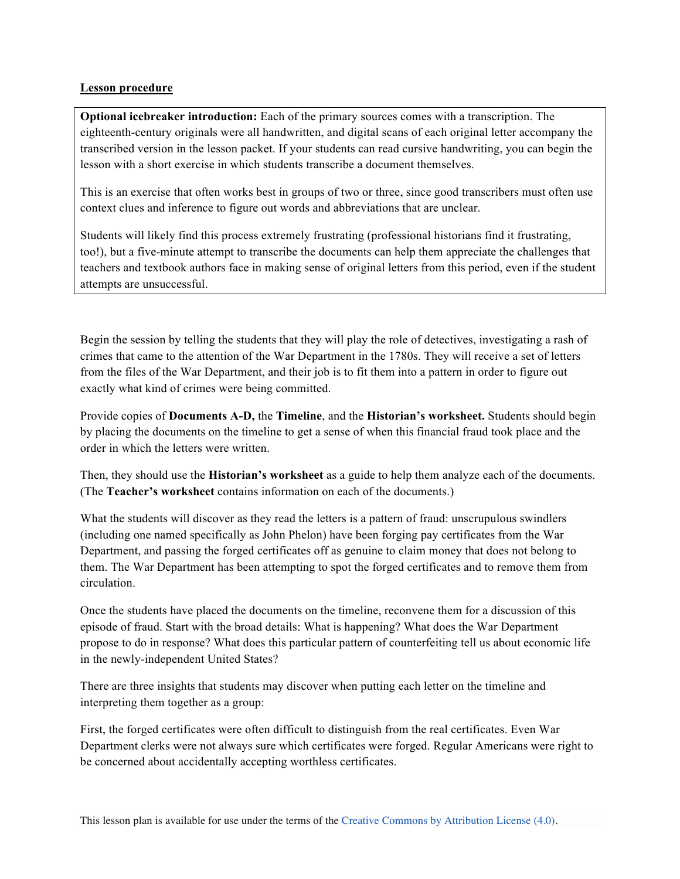## **Lesson procedure**

**Optional icebreaker introduction:** Each of the primary sources comes with a transcription. The eighteenth-century originals were all handwritten, and digital scans of each original letter accompany the transcribed version in the lesson packet. If your students can read cursive handwriting, you can begin the lesson with a short exercise in which students transcribe a document themselves.

This is an exercise that often works best in groups of two or three, since good transcribers must often use context clues and inference to figure out words and abbreviations that are unclear.

Students will likely find this process extremely frustrating (professional historians find it frustrating, too!), but a five-minute attempt to transcribe the documents can help them appreciate the challenges that teachers and textbook authors face in making sense of original letters from this period, even if the student attempts are unsuccessful.

Begin the session by telling the students that they will play the role of detectives, investigating a rash of crimes that came to the attention of the War Department in the 1780s. They will receive a set of letters from the files of the War Department, and their job is to fit them into a pattern in order to figure out exactly what kind of crimes were being committed.

Provide copies of **Documents A-D,** the **Timeline**, and the **Historian's worksheet.** Students should begin by placing the documents on the timeline to get a sense of when this financial fraud took place and the order in which the letters were written.

Then, they should use the **Historian's worksheet** as a guide to help them analyze each of the documents. (The **Teacher's worksheet** contains information on each of the documents.)

What the students will discover as they read the letters is a pattern of fraud: unscrupulous swindlers (including one named specifically as John Phelon) have been forging pay certificates from the War Department, and passing the forged certificates off as genuine to claim money that does not belong to them. The War Department has been attempting to spot the forged certificates and to remove them from circulation.

Once the students have placed the documents on the timeline, reconvene them for a discussion of this episode of fraud. Start with the broad details: What is happening? What does the War Department propose to do in response? What does this particular pattern of counterfeiting tell us about economic life in the newly-independent United States?

There are three insights that students may discover when putting each letter on the timeline and interpreting them together as a group:

First, the forged certificates were often difficult to distinguish from the real certificates. Even War Department clerks were not always sure which certificates were forged. Regular Americans were right to be concerned about accidentally accepting worthless certificates.